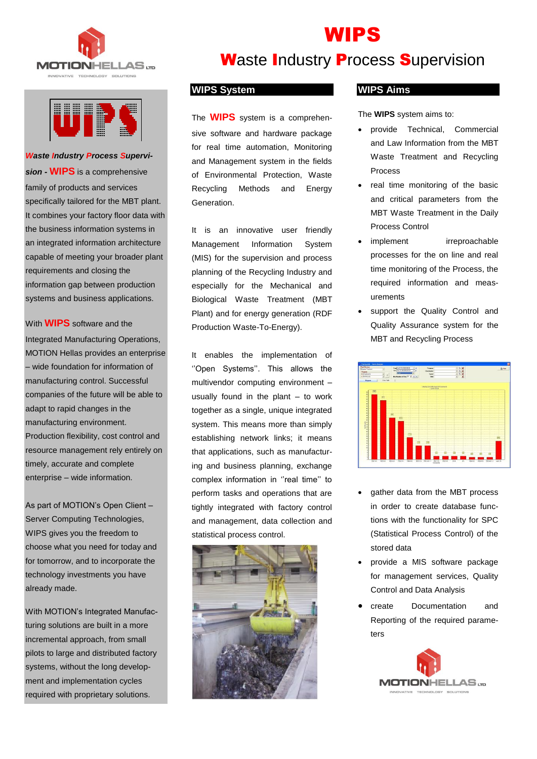



*Waste Industry Process Supervision -* **WIPS** is a comprehensive family of products and services specifically tailored for the MBT plant. It combines your factory floor data with the business information systems in an integrated information architecture capable of meeting your broader plant requirements and closing the information gap between production systems and business applications.

With **WIPS** software and the Integrated Manufacturing Operations, MOTION Hellas provides an enterprise – wide foundation for information of manufacturing control. Successful companies of the future will be able to adapt to rapid changes in the manufacturing environment. Production flexibility, cost control and resource management rely entirely on timely, accurate and complete enterprise – wide information.

As part of MOTION's Open Client – Server Computing Technologies, WIPS gives you the freedom to choose what you need for today and for tomorrow, and to incorporate the technology investments you have already made.

With MOTION's Integrated Manufacturing solutions are built in a more incremental approach, from small pilots to large and distributed factory systems, without the long development and implementation cycles required with proprietary solutions.

# **Waste Industry Process Supervision**

WIPS

#### **WIPS System**

The **WIPS** system is a comprehensive software and hardware package for real time automation, Monitoring and Management system in the fields of Environmental Protection, Waste Recycling Methods and Energy Generation.

It is an innovative user friendly Management Information System (MIS) for the supervision and process planning of the Recycling Industry and especially for the Mechanical and Biological Waste Treatment (MBT Plant) and for energy generation (RDF Production Waste-To-Energy).

It enables the implementation of ''Open Systems''. This allows the multivendor computing environment – usually found in the plant – to work together as a single, unique integrated system. This means more than simply establishing network links; it means that applications, such as manufacturing and business planning, exchange complex information in "real time" to perform tasks and operations that are tightly integrated with factory control and management, data collection and statistical process control.



### **WIPS Aims**

The **WIPS** system aims to:

- provide Technical, Commercial and Law Information from the MBT Waste Treatment and Recycling Process
- real time monitoring of the basic and critical parameters from the MBT Waste Treatment in the Daily Process Control
- implement irreproachable processes for the on line and real time monitoring of the Process, the required information and measurements
- support the Quality Control and Quality Assurance system for the MBT and Recycling Process



- gather data from the MBT process in order to create database functions with the functionality for SPC (Statistical Process Control) of the stored data
- provide a MIS software package for management services, Quality Control and Data Analysis
- create Documentation and Reporting of the required parameters